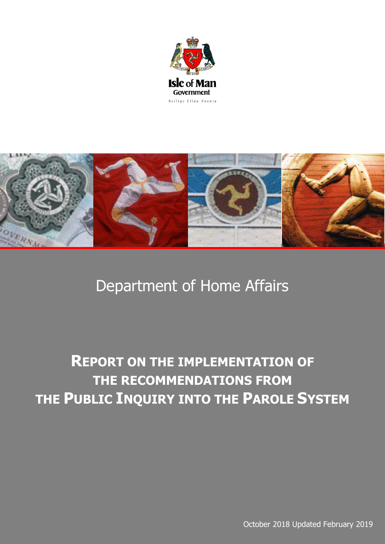



## Department of Home Affairs

## **REPORT ON THE IMPLEMENTATION OF THE RECOMMENDATIONS FROM THE PUBLIC INQUIRY INTO THE PAROLE SYSTEM**

October 2018 Updated February 2019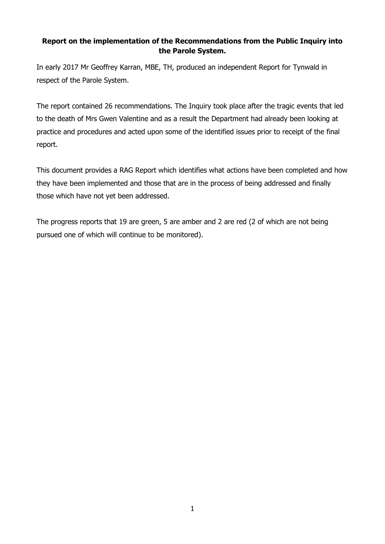## **Report on the implementation of the Recommendations from the Public Inquiry into the Parole System.**

In early 2017 Mr Geoffrey Karran, MBE, TH, produced an independent Report for Tynwald in respect of the Parole System.

The report contained 26 recommendations. The Inquiry took place after the tragic events that led to the death of Mrs Gwen Valentine and as a result the Department had already been looking at practice and procedures and acted upon some of the identified issues prior to receipt of the final report.

This document provides a RAG Report which identifies what actions have been completed and how they have been implemented and those that are in the process of being addressed and finally those which have not yet been addressed.

The progress reports that 19 are green, 5 are amber and 2 are red (2 of which are not being pursued one of which will continue to be monitored).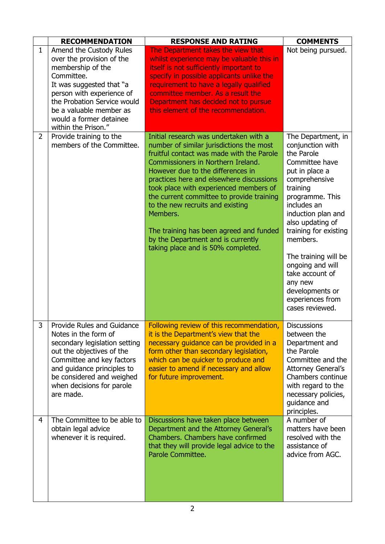|              | <b>RECOMMENDATION</b>                                                                                                                                                                                                                                        | <b>RESPONSE AND RATING</b>                                                                                                                                                                                                                                                                                                                                                                                                                                                                                           | <b>COMMENTS</b>                                                                                                                                                                                                                                                                                                                                                            |
|--------------|--------------------------------------------------------------------------------------------------------------------------------------------------------------------------------------------------------------------------------------------------------------|----------------------------------------------------------------------------------------------------------------------------------------------------------------------------------------------------------------------------------------------------------------------------------------------------------------------------------------------------------------------------------------------------------------------------------------------------------------------------------------------------------------------|----------------------------------------------------------------------------------------------------------------------------------------------------------------------------------------------------------------------------------------------------------------------------------------------------------------------------------------------------------------------------|
| $\mathbf{1}$ | Amend the Custody Rules<br>over the provision of the<br>membership of the<br>Committee.<br>It was suggested that "a<br>person with experience of<br>the Probation Service would<br>be a valuable member as<br>would a former detainee<br>within the Prison." | The Department takes the view that<br>whilst experience may be valuable this in<br>itself is not sufficiently important to<br>specify in possible applicants unlike the<br>requirement to have a legally qualified<br>committee member. As a result the<br>Department has decided not to pursue<br>this element of the recommendation.                                                                                                                                                                               | Not being pursued.                                                                                                                                                                                                                                                                                                                                                         |
| 2            | Provide training to the<br>members of the Committee.                                                                                                                                                                                                         | Initial research was undertaken with a<br>number of similar jurisdictions the most<br>fruitful contact was made with the Parole<br>Commissioners in Northern Ireland.<br>However due to the differences in<br>practices here and elsewhere discussions<br>took place with experienced members of<br>the current committee to provide training<br>to the new recruits and existing<br>Members.<br>The training has been agreed and funded<br>by the Department and is currently<br>taking place and is 50% completed. | The Department, in<br>conjunction with<br>the Parole<br>Committee have<br>put in place a<br>comprehensive<br>training<br>programme. This<br>includes an<br>induction plan and<br>also updating of<br>training for existing<br>members.<br>The training will be<br>ongoing and will<br>take account of<br>any new<br>developments or<br>experiences from<br>cases reviewed. |
| 3            | Provide Rules and Guidance<br>Notes in the form of<br>secondary legislation setting<br>out the objectives of the<br>Committee and key factors<br>and guidance principles to<br>be considered and weighed<br>when decisions for parole<br>are made.           | Following review of this recommendation,<br>it is the Department's view that the<br>necessary guidance can be provided in a<br>form other than secondary legislation,<br>which can be quicker to produce and<br>easier to amend if necessary and allow<br>for future improvement.                                                                                                                                                                                                                                    | <b>Discussions</b><br>between the<br>Department and<br>the Parole<br>Committee and the<br><b>Attorney General's</b><br>Chambers continue<br>with regard to the<br>necessary policies,<br>guidance and<br>principles.                                                                                                                                                       |
| 4            | The Committee to be able to<br>obtain legal advice<br>whenever it is required.                                                                                                                                                                               | Discussions have taken place between<br>Department and the Attorney General's<br>Chambers. Chambers have confirmed<br>that they will provide legal advice to the<br>Parole Committee.                                                                                                                                                                                                                                                                                                                                | A number of<br>matters have been<br>resolved with the<br>assistance of<br>advice from AGC.                                                                                                                                                                                                                                                                                 |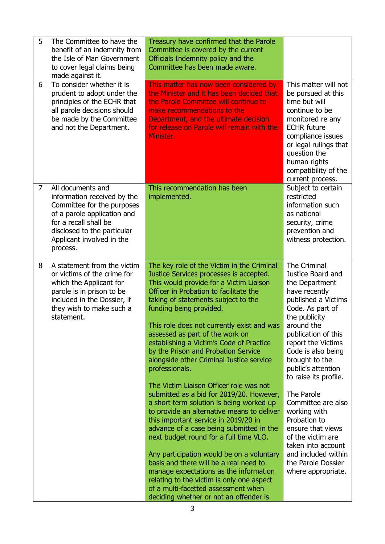| 5 | The Committee to have the<br>benefit of an indemnity from<br>the Isle of Man Government<br>to cover legal claims being<br>made against it.                                                                     | Treasury have confirmed that the Parole<br>Committee is covered by the current<br>Officials Indemnity policy and the<br>Committee has been made aware.                                                                                                                                                                                                                                                                                                                                                                                                                                                                                                                                                                                                                                                                                                                                                                                                                                                                                                       |                                                                                                                                                                                                                                                                                                                                                                                                                                                                                           |
|---|----------------------------------------------------------------------------------------------------------------------------------------------------------------------------------------------------------------|--------------------------------------------------------------------------------------------------------------------------------------------------------------------------------------------------------------------------------------------------------------------------------------------------------------------------------------------------------------------------------------------------------------------------------------------------------------------------------------------------------------------------------------------------------------------------------------------------------------------------------------------------------------------------------------------------------------------------------------------------------------------------------------------------------------------------------------------------------------------------------------------------------------------------------------------------------------------------------------------------------------------------------------------------------------|-------------------------------------------------------------------------------------------------------------------------------------------------------------------------------------------------------------------------------------------------------------------------------------------------------------------------------------------------------------------------------------------------------------------------------------------------------------------------------------------|
| 6 | To consider whether it is<br>prudent to adopt under the<br>principles of the ECHR that<br>all parole decisions should<br>be made by the Committee<br>and not the Department.                                   | This matter has now been considered by<br>the Minister and it has been decided that<br>the Parole Committee will continue to<br>make recommendations to the<br>Department, and the ultimate decision<br>for release on Parole will remain with the<br>Minister.                                                                                                                                                                                                                                                                                                                                                                                                                                                                                                                                                                                                                                                                                                                                                                                              | This matter will not<br>be pursued at this<br>time but will<br>continue to be<br>monitored re any<br><b>ECHR</b> future<br>compliance issues<br>or legal rulings that<br>question the<br>human rights<br>compatibility of the<br>current process.                                                                                                                                                                                                                                         |
| 7 | All documents and<br>information received by the<br>Committee for the purposes<br>of a parole application and<br>for a recall shall be<br>disclosed to the particular<br>Applicant involved in the<br>process. | This recommendation has been<br>implemented.                                                                                                                                                                                                                                                                                                                                                                                                                                                                                                                                                                                                                                                                                                                                                                                                                                                                                                                                                                                                                 | Subject to certain<br>restricted<br>information such<br>as national<br>security, crime<br>prevention and<br>witness protection.                                                                                                                                                                                                                                                                                                                                                           |
| 8 | A statement from the victim<br>or victims of the crime for<br>which the Applicant for<br>parole is in prison to be<br>included in the Dossier, if<br>they wish to make such a<br>statement.                    | The key role of the Victim in the Criminal<br>Justice Services processes is accepted.<br>This would provide for a Victim Liaison<br>Officer in Probation to facilitate the<br>taking of statements subject to the<br>funding being provided.<br>This role does not currently exist and was<br>assessed as part of the work on<br>establishing a Victim's Code of Practice<br>by the Prison and Probation Service<br>alongside other Criminal Justice service<br>professionals.<br>The Victim Liaison Officer role was not<br>submitted as a bid for 2019/20. However,<br>a short term solution is being worked up<br>to provide an alternative means to deliver<br>this important service in 2019/20 in<br>advance of a case being submitted in the<br>next budget round for a full time VLO.<br>Any participation would be on a voluntary<br>basis and there will be a real need to<br>manage expectations as the information<br>relating to the victim is only one aspect<br>of a multi-facetted assessment when<br>deciding whether or not an offender is | The Criminal<br>Justice Board and<br>the Department<br>have recently<br>published a Victims<br>Code. As part of<br>the publicity<br>around the<br>publication of this<br>report the Victims<br>Code is also being<br>brought to the<br>public's attention<br>to raise its profile.<br>The Parole<br>Committee are also<br>working with<br>Probation to<br>ensure that views<br>of the victim are<br>taken into account<br>and included within<br>the Parole Dossier<br>where appropriate. |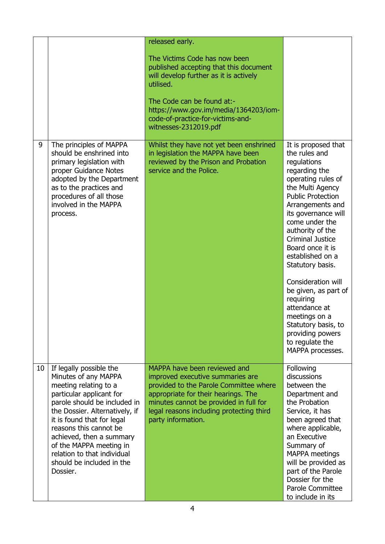|    |                                                                                                                                                                                                                                                                                                                                                               | released early.<br>The Victims Code has now been<br>published accepting that this document<br>will develop further as it is actively<br>utilised.<br>The Code can be found at:-<br>https://www.gov.im/media/1364203/iom-<br>code-of-practice-for-victims-and-<br>witnesses-2312019.pdf |                                                                                                                                                                                                                                                                                                                                                                                                                                                                                                   |
|----|---------------------------------------------------------------------------------------------------------------------------------------------------------------------------------------------------------------------------------------------------------------------------------------------------------------------------------------------------------------|----------------------------------------------------------------------------------------------------------------------------------------------------------------------------------------------------------------------------------------------------------------------------------------|---------------------------------------------------------------------------------------------------------------------------------------------------------------------------------------------------------------------------------------------------------------------------------------------------------------------------------------------------------------------------------------------------------------------------------------------------------------------------------------------------|
| 9  | The principles of MAPPA<br>should be enshrined into<br>primary legislation with<br>proper Guidance Notes<br>adopted by the Department<br>as to the practices and<br>procedures of all those<br>involved in the MAPPA<br>process.                                                                                                                              | Whilst they have not yet been enshrined<br>in legislation the MAPPA have been<br>reviewed by the Prison and Probation<br>service and the Police.                                                                                                                                       | It is proposed that<br>the rules and<br>regulations<br>regarding the<br>operating rules of<br>the Multi Agency<br><b>Public Protection</b><br>Arrangements and<br>its governance will<br>come under the<br>authority of the<br><b>Criminal Justice</b><br>Board once it is<br>established on a<br>Statutory basis.<br>Consideration will<br>be given, as part of<br>requiring<br>attendance at<br>meetings on a<br>Statutory basis, to<br>providing powers<br>to regulate the<br>MAPPA processes. |
| 10 | If legally possible the<br>Minutes of any MAPPA<br>meeting relating to a<br>particular applicant for<br>parole should be included in<br>the Dossier. Alternatively, if<br>it is found that for legal<br>reasons this cannot be<br>achieved, then a summary<br>of the MAPPA meeting in<br>relation to that individual<br>should be included in the<br>Dossier. | MAPPA have been reviewed and<br>improved executive summaries are<br>provided to the Parole Committee where<br>appropriate for their hearings. The<br>minutes cannot be provided in full for<br>legal reasons including protecting third<br>party information.                          | Following<br>discussions<br>between the<br>Department and<br>the Probation<br>Service, it has<br>been agreed that<br>where applicable,<br>an Executive<br>Summary of<br>MAPPA meetings<br>will be provided as<br>part of the Parole<br>Dossier for the<br>Parole Committee<br>to include in its                                                                                                                                                                                                   |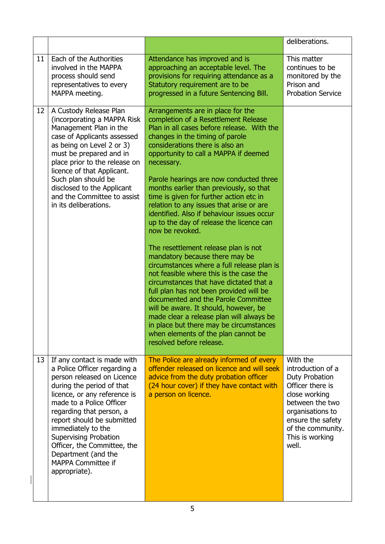|    |                                                                                                                                                                                                                                                                                                                                                                                                        |                                                                                                                                                                                                                                                                                                                                                                                                                                                                                                                                                                                                                                                                                                                                                                                                                                                                                                                                                                                                                                                   | deliberations.                                                                                                                                                                                    |
|----|--------------------------------------------------------------------------------------------------------------------------------------------------------------------------------------------------------------------------------------------------------------------------------------------------------------------------------------------------------------------------------------------------------|---------------------------------------------------------------------------------------------------------------------------------------------------------------------------------------------------------------------------------------------------------------------------------------------------------------------------------------------------------------------------------------------------------------------------------------------------------------------------------------------------------------------------------------------------------------------------------------------------------------------------------------------------------------------------------------------------------------------------------------------------------------------------------------------------------------------------------------------------------------------------------------------------------------------------------------------------------------------------------------------------------------------------------------------------|---------------------------------------------------------------------------------------------------------------------------------------------------------------------------------------------------|
| 11 | Each of the Authorities<br>involved in the MAPPA<br>process should send<br>representatives to every<br>MAPPA meeting.                                                                                                                                                                                                                                                                                  | Attendance has improved and is<br>approaching an acceptable level. The<br>provisions for requiring attendance as a<br>Statutory requirement are to be<br>progressed in a future Sentencing Bill.                                                                                                                                                                                                                                                                                                                                                                                                                                                                                                                                                                                                                                                                                                                                                                                                                                                  | This matter<br>continues to be<br>monitored by the<br>Prison and<br><b>Probation Service</b>                                                                                                      |
| 12 | A Custody Release Plan<br>(incorporating a MAPPA Risk<br>Management Plan in the<br>case of Applicants assessed<br>as being on Level 2 or 3)<br>must be prepared and in<br>place prior to the release on<br>licence of that Applicant.<br>Such plan should be<br>disclosed to the Applicant<br>and the Committee to assist<br>in its deliberations.                                                     | Arrangements are in place for the<br>completion of a Resettlement Release<br>Plan in all cases before release. With the<br>changes in the timing of parole<br>considerations there is also an<br>opportunity to call a MAPPA if deemed<br>necessary.<br>Parole hearings are now conducted three<br>months earlier than previously, so that<br>time is given for further action etc in<br>relation to any issues that arise or are<br>identified. Also if behaviour issues occur<br>up to the day of release the licence can<br>now be revoked.<br>The resettlement release plan is not<br>mandatory because there may be<br>circumstances where a full release plan is<br>not feasible where this is the case the<br>circumstances that have dictated that a<br>full plan has not been provided will be<br>documented and the Parole Committee<br>will be aware. It should, however, be<br>made clear a release plan will always be<br>in place but there may be circumstances<br>when elements of the plan cannot be<br>resolved before release. |                                                                                                                                                                                                   |
| 13 | If any contact is made with<br>a Police Officer regarding a<br>person released on Licence<br>during the period of that<br>licence, or any reference is<br>made to a Police Officer<br>regarding that person, a<br>report should be submitted<br>immediately to the<br><b>Supervising Probation</b><br>Officer, the Committee, the<br>Department (and the<br><b>MAPPA Committee if</b><br>appropriate). | The Police are already informed of every<br>offender released on licence and will seek<br>advice from the duty probation officer<br>(24 hour cover) if they have contact with<br>a person on licence.                                                                                                                                                                                                                                                                                                                                                                                                                                                                                                                                                                                                                                                                                                                                                                                                                                             | With the<br>introduction of a<br>Duty Probation<br>Officer there is<br>close working<br>between the two<br>organisations to<br>ensure the safety<br>of the community.<br>This is working<br>well. |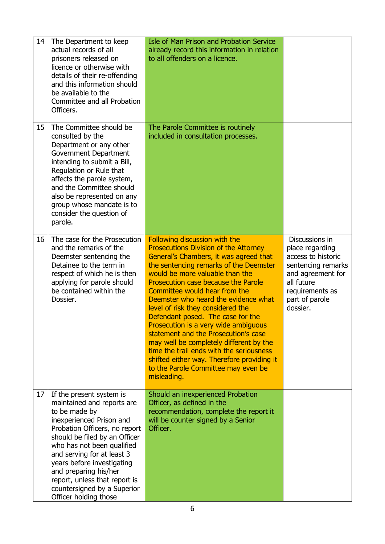| 14 | The Department to keep<br>actual records of all<br>prisoners released on<br>licence or otherwise with<br>details of their re-offending<br>and this information should<br>be available to the<br>Committee and all Probation<br>Officers.                                                                                                                                          | <b>Isle of Man Prison and Probation Service</b><br>already record this information in relation<br>to all offenders on a licence.                                                                                                                                                                                                                                                                                                                                                                                                                                                                                                                                          |                                                                                                                                                                    |
|----|-----------------------------------------------------------------------------------------------------------------------------------------------------------------------------------------------------------------------------------------------------------------------------------------------------------------------------------------------------------------------------------|---------------------------------------------------------------------------------------------------------------------------------------------------------------------------------------------------------------------------------------------------------------------------------------------------------------------------------------------------------------------------------------------------------------------------------------------------------------------------------------------------------------------------------------------------------------------------------------------------------------------------------------------------------------------------|--------------------------------------------------------------------------------------------------------------------------------------------------------------------|
| 15 | The Committee should be<br>consulted by the<br>Department or any other<br>Government Department<br>intending to submit a Bill,<br>Regulation or Rule that<br>affects the parole system,<br>and the Committee should<br>also be represented on any<br>group whose mandate is to<br>consider the question of<br>parole.                                                             | The Parole Committee is routinely<br>included in consultation processes.                                                                                                                                                                                                                                                                                                                                                                                                                                                                                                                                                                                                  |                                                                                                                                                                    |
| 16 | The case for the Prosecution<br>and the remarks of the<br>Deemster sentencing the<br>Detainee to the term in<br>respect of which he is then<br>applying for parole should<br>be contained within the<br>Dossier.                                                                                                                                                                  | Following discussion with the<br><b>Prosecutions Division of the Attorney</b><br>General's Chambers, it was agreed that<br>the sentencing remarks of the Deemster<br>would be more valuable than the<br>Prosecution case because the Parole<br>Committee would hear from the<br>Deemster who heard the evidence what<br>level of risk they considered the<br>Defendant posed. The case for the<br>Prosecution is a very wide ambiguous<br>statement and the Prosecution's case<br>may well be completely different by the<br>time the trail ends with the seriousness<br>shifted either way. Therefore providing it<br>to the Parole Committee may even be<br>misleading. | -Discussions in<br>place regarding<br>access to historic<br>sentencing remarks<br>and agreement for<br>all future<br>requirements as<br>part of parole<br>dossier. |
| 17 | If the present system is<br>maintained and reports are<br>to be made by<br>inexperienced Prison and<br>Probation Officers, no report<br>should be filed by an Officer<br>who has not been qualified<br>and serving for at least 3<br>years before investigating<br>and preparing his/her<br>report, unless that report is<br>countersigned by a Superior<br>Officer holding those | Should an inexperienced Probation<br>Officer, as defined in the<br>recommendation, complete the report it<br>will be counter signed by a Senior<br>Officer.                                                                                                                                                                                                                                                                                                                                                                                                                                                                                                               |                                                                                                                                                                    |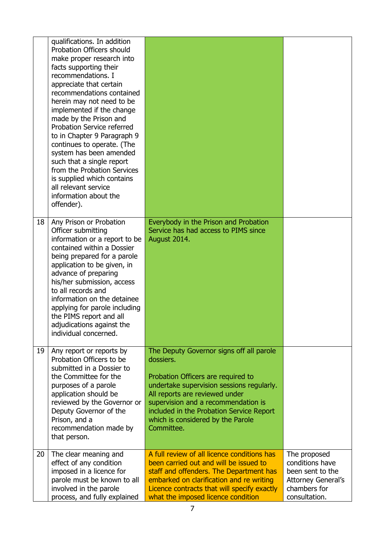|    | qualifications. In addition<br>Probation Officers should<br>make proper research into<br>facts supporting their<br>recommendations. I<br>appreciate that certain<br>recommendations contained<br>herein may not need to be<br>implemented if the change<br>made by the Prison and<br><b>Probation Service referred</b><br>to in Chapter 9 Paragraph 9<br>continues to operate. (The<br>system has been amended<br>such that a single report<br>from the Probation Services<br>is supplied which contains<br>all relevant service<br>information about the<br>offender). |                                                                                                                                                                                                                                                                                                                  |                                                                                                                   |
|----|-------------------------------------------------------------------------------------------------------------------------------------------------------------------------------------------------------------------------------------------------------------------------------------------------------------------------------------------------------------------------------------------------------------------------------------------------------------------------------------------------------------------------------------------------------------------------|------------------------------------------------------------------------------------------------------------------------------------------------------------------------------------------------------------------------------------------------------------------------------------------------------------------|-------------------------------------------------------------------------------------------------------------------|
| 18 | Any Prison or Probation<br>Officer submitting<br>information or a report to be<br>contained within a Dossier<br>being prepared for a parole<br>application to be given, in<br>advance of preparing<br>his/her submission, access<br>to all records and<br>information on the detainee<br>applying for parole including<br>the PIMS report and all<br>adjudications against the<br>individual concerned.                                                                                                                                                                 | Everybody in the Prison and Probation<br>Service has had access to PIMS since<br>August 2014.                                                                                                                                                                                                                    |                                                                                                                   |
| 19 | Any report or reports by<br>Probation Officers to be<br>submitted in a Dossier to<br>the Committee for the<br>purposes of a parole<br>application should be<br>reviewed by the Governor or<br>Deputy Governor of the<br>Prison, and a<br>recommendation made by<br>that person.                                                                                                                                                                                                                                                                                         | The Deputy Governor signs off all parole<br>dossiers.<br>Probation Officers are required to<br>undertake supervision sessions regularly.<br>All reports are reviewed under<br>supervision and a recommendation is<br>included in the Probation Service Report<br>which is considered by the Parole<br>Committee. |                                                                                                                   |
| 20 | The clear meaning and<br>effect of any condition<br>imposed in a licence for<br>parole must be known to all<br>involved in the parole<br>process, and fully explained                                                                                                                                                                                                                                                                                                                                                                                                   | A full review of all licence conditions has<br>been carried out and will be issued to<br>staff and offenders. The Department has<br>embarked on clarification and re writing<br>Licence contracts that will specify exactly<br>what the imposed licence condition                                                | The proposed<br>conditions have<br>been sent to the<br><b>Attorney General's</b><br>chambers for<br>consultation. |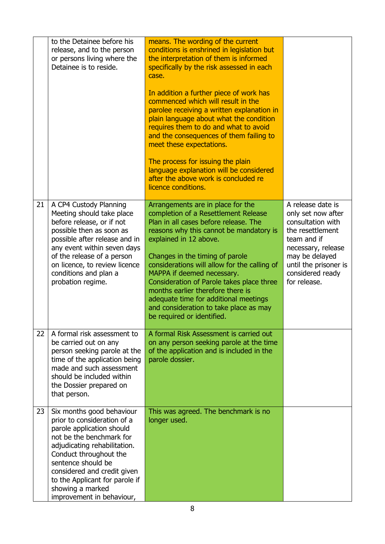|    | to the Detainee before his<br>release, and to the person<br>or persons living where the<br>Detainee is to reside.                                                                                                                                                                                                   | means. The wording of the current<br>conditions is enshrined in legislation but<br>the interpretation of them is informed<br>specifically by the risk assessed in each<br>case.                                                                                                                                                                                                                                                                                                                             |                                                                                                                                                                                                      |
|----|---------------------------------------------------------------------------------------------------------------------------------------------------------------------------------------------------------------------------------------------------------------------------------------------------------------------|-------------------------------------------------------------------------------------------------------------------------------------------------------------------------------------------------------------------------------------------------------------------------------------------------------------------------------------------------------------------------------------------------------------------------------------------------------------------------------------------------------------|------------------------------------------------------------------------------------------------------------------------------------------------------------------------------------------------------|
|    |                                                                                                                                                                                                                                                                                                                     | In addition a further piece of work has<br>commenced which will result in the<br>parolee receiving a written explanation in<br>plain language about what the condition<br>requires them to do and what to avoid<br>and the consequences of them failing to<br>meet these expectations.                                                                                                                                                                                                                      |                                                                                                                                                                                                      |
|    |                                                                                                                                                                                                                                                                                                                     | The process for issuing the plain<br>language explanation will be considered<br>after the above work is concluded re<br>licence conditions.                                                                                                                                                                                                                                                                                                                                                                 |                                                                                                                                                                                                      |
| 21 | A CP4 Custody Planning<br>Meeting should take place<br>before release, or if not<br>possible then as soon as<br>possible after release and in<br>any event within seven days<br>of the release of a person<br>on licence, to review licence<br>conditions and plan a<br>probation regime.                           | Arrangements are in place for the<br>completion of a Resettlement Release<br>Plan in all cases before release. The<br>reasons why this cannot be mandatory is<br>explained in 12 above.<br>Changes in the timing of parole<br>considerations will allow for the calling of<br>MAPPA if deemed necessary.<br>Consideration of Parole takes place three<br>months earlier therefore there is<br>adequate time for additional meetings<br>and consideration to take place as may<br>be required or identified. | A release date is<br>only set now after<br>consultation with<br>the resettlement<br>team and if<br>necessary, release<br>may be delayed<br>until the prisoner is<br>considered ready<br>for release. |
| 22 | A formal risk assessment to<br>be carried out on any<br>person seeking parole at the<br>time of the application being<br>made and such assessment<br>should be included within<br>the Dossier prepared on<br>that person.                                                                                           | A formal Risk Assessment is carried out<br>on any person seeking parole at the time<br>of the application and is included in the<br>parole dossier.                                                                                                                                                                                                                                                                                                                                                         |                                                                                                                                                                                                      |
| 23 | Six months good behaviour<br>prior to consideration of a<br>parole application should<br>not be the benchmark for<br>adjudicating rehabilitation.<br>Conduct throughout the<br>sentence should be<br>considered and credit given<br>to the Applicant for parole if<br>showing a marked<br>improvement in behaviour, | This was agreed. The benchmark is no<br>longer used.                                                                                                                                                                                                                                                                                                                                                                                                                                                        |                                                                                                                                                                                                      |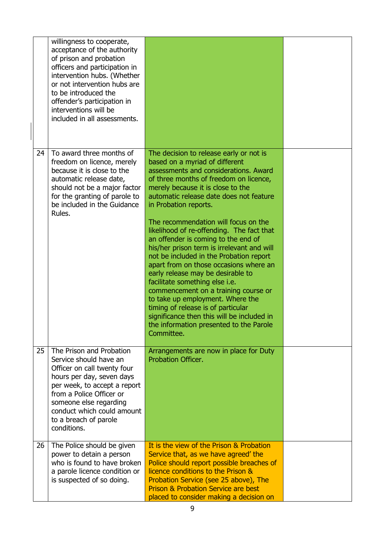|    | willingness to cooperate,<br>acceptance of the authority<br>of prison and probation<br>officers and participation in<br>intervention hubs. (Whether<br>or not intervention hubs are<br>to be introduced the<br>offender's participation in<br>interventions will be<br>included in all assessments. |                                                                                                                                                                                                                                                                                                                                                                                                                                                                                                                                                                                                                                                                                                                                                                                                                                      |  |
|----|-----------------------------------------------------------------------------------------------------------------------------------------------------------------------------------------------------------------------------------------------------------------------------------------------------|--------------------------------------------------------------------------------------------------------------------------------------------------------------------------------------------------------------------------------------------------------------------------------------------------------------------------------------------------------------------------------------------------------------------------------------------------------------------------------------------------------------------------------------------------------------------------------------------------------------------------------------------------------------------------------------------------------------------------------------------------------------------------------------------------------------------------------------|--|
| 24 | To award three months of<br>freedom on licence, merely<br>because it is close to the<br>automatic release date,<br>should not be a major factor<br>for the granting of parole to<br>be included in the Guidance<br>Rules.                                                                           | The decision to release early or not is<br>based on a myriad of different<br>assessments and considerations. Award<br>of three months of freedom on licence,<br>merely because it is close to the<br>automatic release date does not feature<br>in Probation reports.<br>The recommendation will focus on the<br>likelihood of re-offending. The fact that<br>an offender is coming to the end of<br>his/her prison term is irrelevant and will<br>not be included in the Probation report<br>apart from on those occasions where an<br>early release may be desirable to<br>facilitate something else i.e.<br>commencement on a training course or<br>to take up employment. Where the<br>timing of release is of particular<br>significance then this will be included in<br>the information presented to the Parole<br>Committee. |  |
| 25 | The Prison and Probation<br>Service should have an<br>Officer on call twenty four<br>hours per day, seven days<br>per week, to accept a report<br>from a Police Officer or<br>someone else regarding<br>conduct which could amount<br>to a breach of parole<br>conditions.                          | Arrangements are now in place for Duty<br>Probation Officer.                                                                                                                                                                                                                                                                                                                                                                                                                                                                                                                                                                                                                                                                                                                                                                         |  |
| 26 | The Police should be given<br>power to detain a person<br>who is found to have broken<br>a parole licence condition or<br>is suspected of so doing.                                                                                                                                                 | It is the view of the Prison & Probation<br>Service that, as we have agreed' the<br>Police should report possible breaches of<br>licence conditions to the Prison &<br>Probation Service (see 25 above), The<br><b>Prison &amp; Probation Service are best</b><br>placed to consider making a decision on                                                                                                                                                                                                                                                                                                                                                                                                                                                                                                                            |  |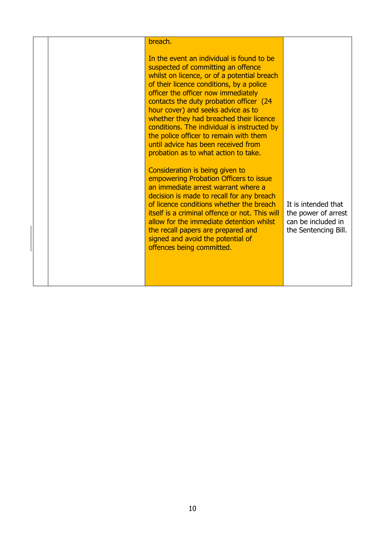|  | breach.                                                                                                                                                                                                                                                                                                                                                                                                                                                                                                               |                                                                                          |
|--|-----------------------------------------------------------------------------------------------------------------------------------------------------------------------------------------------------------------------------------------------------------------------------------------------------------------------------------------------------------------------------------------------------------------------------------------------------------------------------------------------------------------------|------------------------------------------------------------------------------------------|
|  | In the event an individual is found to be<br>suspected of committing an offence<br>whilst on licence, or of a potential breach<br>of their licence conditions, by a police<br>officer the officer now immediately<br>contacts the duty probation officer (24<br>hour cover) and seeks advice as to<br>whether they had breached their licence<br>conditions. The individual is instructed by<br>the police officer to remain with them<br>until advice has been received from<br>probation as to what action to take. |                                                                                          |
|  | Consideration is being given to<br>empowering Probation Officers to issue<br>an immediate arrest warrant where a<br>decision is made to recall for any breach<br>of licence conditions whether the breach<br>itself is a criminal offence or not. This will<br>allow for the immediate detention whilst<br>the recall papers are prepared and<br>signed and avoid the potential of<br>offences being committed.                                                                                                       | It is intended that<br>the power of arrest<br>can be included in<br>the Sentencing Bill. |